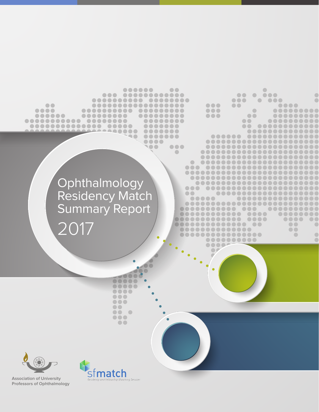



**Association of University Professors of Ophthalmology**

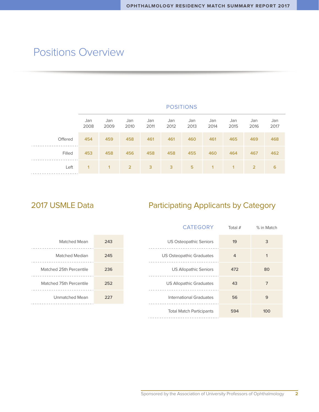### Positions Overview

|                 | Jan<br>2008 | Jan<br>2009    | Jan<br>2010    | Jan<br>2011 | Jan<br>2012 | Jan<br>2013 | Jan<br>2014 | Jan<br>2015 | Jan<br>2016    | Jan<br>2017 |
|-----------------|-------------|----------------|----------------|-------------|-------------|-------------|-------------|-------------|----------------|-------------|
| Offered         | 454         | 459            | 458            | 461         | 461         | 460         | 461         | 465         | 469            | 468         |
| Filled          | 453         | 458            | 456            | 458         | 458         | 455         | 460         | 464         | 467            | 462         |
| Left<br>------- | 1           | $\overline{1}$ | $\overline{2}$ | 3           | 3           | 5           | 1           | 1           | $\overline{2}$ | 6           |

POSITIONS

### 2017 USMLE Data **Participating Applicants by Category**

|     | <b>CATEGORY</b>                 | Total $#$      | % in Match     |
|-----|---------------------------------|----------------|----------------|
| 243 | <b>US Osteopathic Seniors</b>   | 19             | 3              |
| 245 | <b>US Osteopathic Graduates</b> | $\overline{4}$ |                |
| 236 | <b>US Allopathic Seniors</b>    | 472            | 80             |
| 252 | <b>US Allopathic Graduates</b>  | 43             | $\overline{7}$ |
| 227 | <b>International Graduates</b>  | 56             | 9              |
|     | <b>Total Match Participants</b> | 594            | 100            |

| Matched Mean            | 243 |
|-------------------------|-----|
| <b>Matched Median</b>   | 245 |
| Matched 25th Percentile | 236 |
| Matched 75th Percentile | 252 |
| <b>Unmatched Mean</b>   | 227 |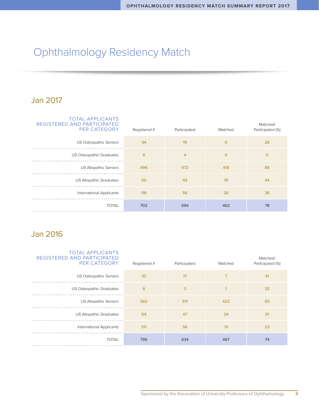# Ophthalmology Residency Match

#### Jan 2017

| <b>TOTAL APPLICANTS</b><br>REGISTERED AND PARTICIPATED<br><b>PER CATEGORY</b> | Registered # | Participated   | Matched | Matched/<br>Participated (%) |
|-------------------------------------------------------------------------------|--------------|----------------|---------|------------------------------|
| <b>US Osteopathic Seniors</b>                                                 | 34           | 19             | 5       | 26                           |
| <b>US Osteopathic Graduates</b>                                               | 6            | $\overline{4}$ | $\circ$ | $\mathbf 0$                  |
| <b>US Allopathic Seniors</b>                                                  | 496          | 472            | 418     | 89                           |
| <b>US Allopathic Graduates</b>                                                | 50           | 43             | 19      | 44                           |
| <b>International Applicants</b>                                               | 116          | 56             | 20      | 36                           |
| <b>TOTAL</b>                                                                  | 702          | 594            | 462     | 78                           |

### Jan 2016

| <b>PER CATEGORY</b><br>Registered #<br>Matched<br>Participated (%)<br>Participated |    |
|------------------------------------------------------------------------------------|----|
| 32<br>17<br>7<br><b>US Osteopathic Seniors</b>                                     | 41 |
| 6<br>3<br><b>US Osteopathic Graduates</b><br>1                                     | 33 |
| 422<br><b>US Allopathic Seniors</b><br>562<br>511                                  | 83 |
| <b>US Allopathic Graduates</b><br>64<br>47<br>24                                   | 51 |
| <b>International Applicants</b><br>131<br>56<br>13                                 | 23 |
| <b>TOTAL</b><br>795<br>634<br>467                                                  | 74 |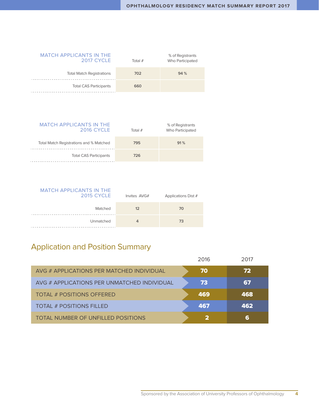| <b>MATCH APPLICANTS IN THE</b><br><b>2017 CYCLE</b> | Total $#$ | % of Registrants<br>Who Participated |
|-----------------------------------------------------|-----------|--------------------------------------|
| <b>Total Match Registrations</b>                    | 702       | 94 %                                 |
| <b>Total CAS Participants</b>                       | 660       |                                      |

| <b>MATCH APPLICANTS IN THE</b><br>2016 CYCLE | Total $#$ | % of Registrants<br>Who Participated |
|----------------------------------------------|-----------|--------------------------------------|
| Total Match Registrations and % Matched      | 795       | 91%                                  |
| <b>Total CAS Participants</b>                | 726       |                                      |

| <b>MATCH APPLICANTS IN THE</b><br><b>2015 CYCLE</b> | Invites AVG# | Applications Dist # |
|-----------------------------------------------------|--------------|---------------------|
| Matched                                             | 12           | 70                  |
| Unmatched                                           |              | 73                  |

### Application and Position Summary

|                                             | 2016 | 2017 |
|---------------------------------------------|------|------|
| AVG # APPLICATIONS PER MATCHED INDIVIDUAL   | 70   | 72   |
| AVG # APPLICATIONS PER UNMATCHED INDIVIDUAL | 73   | 67   |
| TOTAL # POSITIONS OFFERED                   | 469  | 468  |
| <b>TOTAL # POSITIONS FILLED</b>             | 467  | 462  |
| TOTAL NUMBER OF UNFILLED POSITIONS          |      | 6    |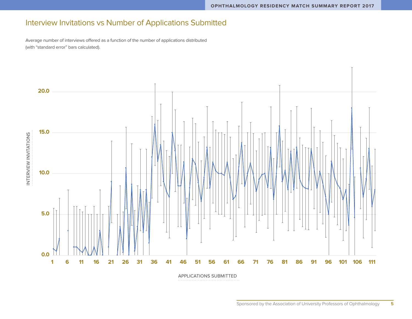### Interview Invitations vs Number of Applications Submitted

Average number of interviews offered as a function of the number of applications distributed (with "standard error" bars calculated).

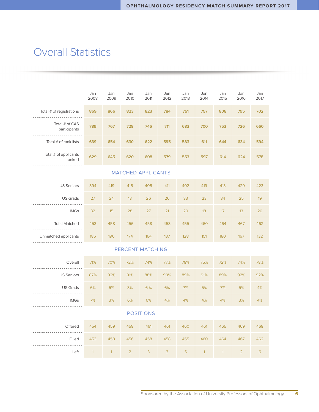### **Overall Statistics**

|                                       | Jan<br>2008  | Jan<br>2009  | Jan<br>2010    | Jan<br>2011               | Jan<br>2012 | Jan<br>2013 | Jan<br>2014  | Jan<br>2015  | Jan<br>2016    | Jan<br>2017 |
|---------------------------------------|--------------|--------------|----------------|---------------------------|-------------|-------------|--------------|--------------|----------------|-------------|
| Total # of registrations              | 869          | 866          | 823            | 823                       | 784         | 751         | 757          | 808          | 795            | 702         |
| Total # of CAS<br>participants        | 789          | 767          | 728            | 746                       | 711         | 683         | 700          | 753          | 726            | 660         |
| Total # of rank lists                 | 639          | 654          | 630            | 622                       | 595         | 583         | 611          | 644          | 634            | 594         |
| Total # of applicants<br>ranked       | 629          | 645          | 620            | 608                       | 579         | 553         | 597          | 614          | 624            | 578         |
|                                       |              |              |                | <b>MATCHED APPLICANTS</b> |             |             |              |              |                |             |
| <b>US Seniors</b>                     | 394          | 419          | 415            | 405                       | 411         | 402         | 419          | 413          | 429            | 423         |
| <b>US Grads</b>                       | 27           | 24           | 13             | 26                        | 26          | 33          | 23           | 34           | 25             | 19          |
| <b>IMGs</b>                           | 32           | 15           | 28             | 27                        | 21          | 20          | 18           | 17           | 13             | 20          |
| <b>Total Matched</b><br>$- - - - - -$ | 453          | 458          | 456            | 458                       | 458         | 455         | 460          | 464          | 467            | 462         |
| Unmatched applicants                  | 186          | 196          | 174            | 164                       | 137         | 128         | 151          | 180          | 167            | 132         |
|                                       |              |              |                | <b>PERCENT MATCHING</b>   |             |             |              |              |                |             |
| Overall                               | 71%          | 70%          | 72%            | 74%                       | 77%         | 78%         | 75%          | 72%          | 74%            | 78%         |
| <b>US Seniors</b>                     | 87%          | 92%          | 91%            | 88%                       | 90%         | 89%         | 91%          | 89%          | 92%            | 92%         |
| <b>US Grads</b>                       | 6%           | 5%           | 3%             | 6%                        | 6%          | 7%          | 5%           | 7%           | 5%             | 4%          |
| <b>IMGs</b>                           | 7%           | 3%           | 6%             | 6%                        | 4%          | 4%          | 4%           | 4%           | 3%             | 4%          |
| <b>POSITIONS</b>                      |              |              |                |                           |             |             |              |              |                |             |
| Offered                               | 454          | 459          | 458            | 461                       | 461         | 460         | 461          | 465          | 469            | 468         |
| Filled                                | 453          | 458          | 456            | 458                       | 458         | 455         | 460          | 464          | 467            | 462         |
| Left                                  | $\mathbf{1}$ | $\mathbf{1}$ | $\overline{2}$ | 3                         | 3           | 5           | $\mathbf{1}$ | $\mathbf{1}$ | $\overline{2}$ | 6           |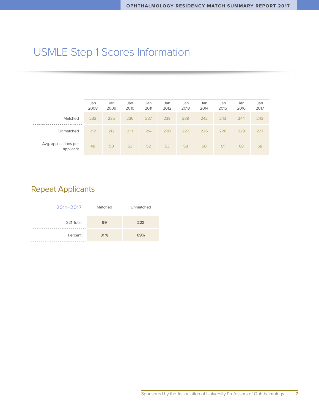# USMLE Step 1 Scores Information

|                                    | Jan<br>2008 | Jan<br>2009 | Jan<br>2010 | Jan<br>2011 | Jan<br>2012 | Jan<br>2013 | Jan<br>2014 | Jan<br>2015 | Jan<br>2016 | Jan<br>2017 |
|------------------------------------|-------------|-------------|-------------|-------------|-------------|-------------|-------------|-------------|-------------|-------------|
| Matched                            | 232         | 235         | 236         | 237         | 238         | 239         | 242         | 243         | 244         | 243         |
| Unmatched                          | 212         | 212         | 210         | 214         | 220         | 222         | 226         | 228         | 229         | 227         |
| Avg. applications per<br>applicant | 48          | 50          | 53          | 52          | 53          | 58          | 60          | 61          | 68          | 68          |

### Repeat Applicants

| $2011 - 2017$ | Matched | Unmatched |  |  |
|---------------|---------|-----------|--|--|
| 321 Total     | 99      | 222       |  |  |
| Percent       | 31%     | 69%       |  |  |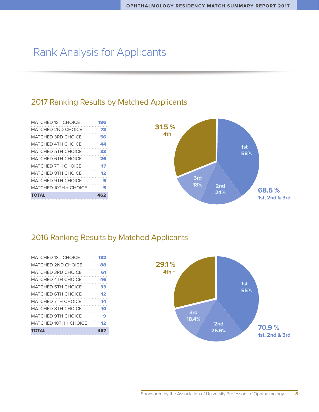### Rank Analysis for Applicants

#### 2017 Ranking Results by Matched Applicants

| MATCHED 1ST CHOICE        | 186 |
|---------------------------|-----|
| <b>MATCHED 2ND CHOICF</b> | 78  |
| <b>MATCHED 3RD CHOICE</b> | 56  |
| MATCHED 4TH CHOICE        | 44  |
| <b>MATCHED 5TH CHOICE</b> | 33  |
| <b>MATCHED 6TH CHOICE</b> | 26  |
| MATCHED 7TH CHOICE        | 17  |
| <b>MATCHED 8TH CHOICE</b> | 12  |
| <b>MATCHED 9TH CHOICE</b> | 5   |
| MATCHED 10TH + CHOICE     | 5   |
| TOTAL                     | 462 |



#### 2016 Ranking Results by Matched Applicants

| MATCHED 1ST CHOICE        | 182 |
|---------------------------|-----|
| MATCHED 2ND CHOICE        | 88  |
| MATCHED 3RD CHOICE        | 61  |
| MATCHED 4TH CHOICE        | 46  |
| MATCHED 5TH CHOICE        | 33  |
| MATCHED 6TH CHOICE        | 12  |
| <b>MATCHED 7TH CHOICE</b> | 14  |
| MATCHED 8TH CHOICE        | 10  |
| <b>MATCHED 9TH CHOICE</b> | 9   |
| MATCHED 10TH + CHOICE     | 12  |
| <b>TOTAL</b>              | 467 |